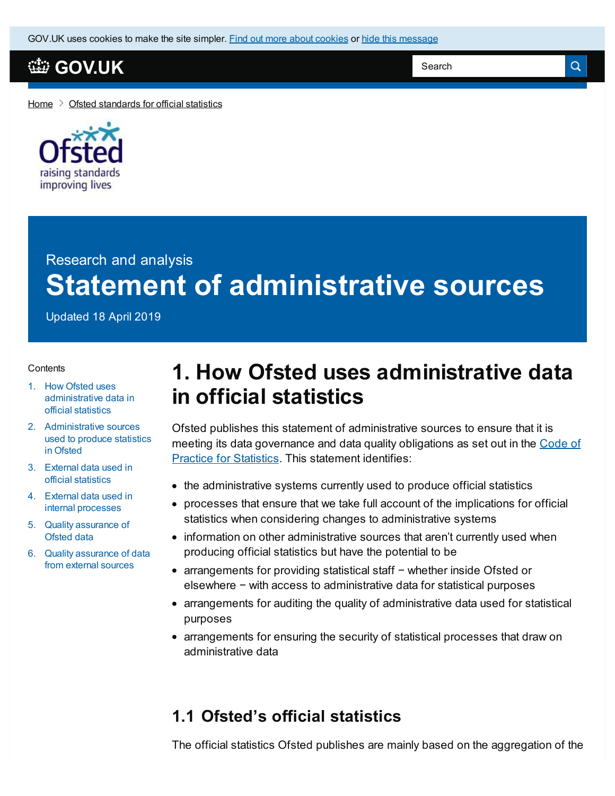GOV.UK uses [cookies](https://www.gov.uk/help/cookies) to make the site simpler. Find out more about cookies or hide this message

## **[GOV.UK](https://www.gov.uk)**

Search

Q

[Home](https://www.gov.uk/)  $\geq$  Ofsted [standards](https://www.gov.uk/government/publications/ofsted-standards-for-official-statistics) for official statistics



# Research and analysis **Statement of administrative sources**

Updated 18 April 2019

#### **Contents**

- 1. How Ofsted uses [administrative](#page-0-0) data in official statistics
- 2. [Administrative](#page-1-0) sources used to produce statistics in Ofsted
- 3. External data used in official [statistics](#page-4-0)
- 4. External data used in internal [processes](#page-4-1)
- 5. Quality [assurance](#page-5-0) of Ofsted data
- 6. Quality [assurance](#page-5-1) of data from external sources

# <span id="page-0-0"></span>**1. How Ofsted uses administrative data in official statistics**

Ofsted publishes this statement of administrative sources to ensure that it is meeting its data [governance](https://www.statisticsauthority.gov.uk/code-of-practice/) and data quality obligations as set out in the Code of Practice for Statistics. This statement identifies:

- the administrative systems currently used to produce official statistics
- processes that ensure that we take full account of the implications for official statistics when considering changes to administrative systems
- information on other administrative sources that aren't currently used when producing official statistics but have the potential to be
- arrangements for providing statistical staff − whether inside Ofsted or elsewhere − with access to administrative data for statistical purposes
- arrangements for auditing the quality of administrative data used for statistical purposes
- arrangements for ensuring the security of statistical processes that draw on administrative data

### **1.1 Ofsted's official statistics**

The official statistics Ofsted publishes are mainly based on the aggregation of the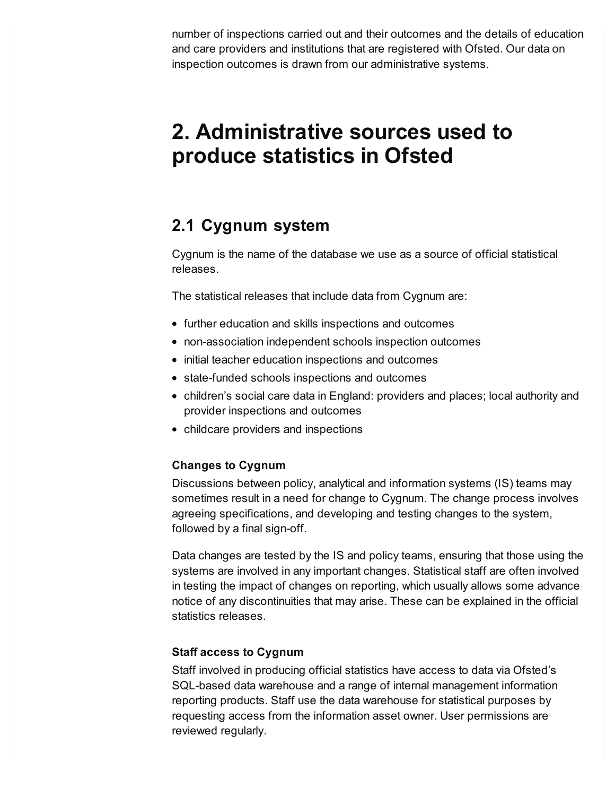number of inspections carried out and their outcomes and the details of education and care providers and institutions that are registered with Ofsted. Our data on inspection outcomes is drawn from our administrative systems.

# <span id="page-1-0"></span>**2. Administrative sources used to produce statistics in Ofsted**

## **2.1 Cygnum system**

Cygnum is the name of the database we use as a source of official statistical releases.

The statistical releases that include data from Cygnum are:

- further education and skills inspections and outcomes
- non-association independent schools inspection outcomes
- initial teacher education inspections and outcomes
- state-funded schools inspections and outcomes
- children's social care data in England: providers and places; local authority and provider inspections and outcomes
- childcare providers and inspections

### **Changes to Cygnum**

Discussions between policy, analytical and information systems (IS) teams may sometimes result in a need for change to Cygnum. The change process involves agreeing specifications, and developing and testing changes to the system, followed by a final sign-off.

Data changes are tested by the IS and policy teams, ensuring that those using the systems are involved in any important changes. Statistical staff are often involved in testing the impact of changes on reporting, which usually allows some advance notice of any discontinuities that may arise. These can be explained in the official statistics releases.

### **Staff access to Cygnum**

Staff involved in producing official statistics have access to data via Ofsted's SQL-based data warehouse and a range of internal management information reporting products. Staff use the data warehouse for statistical purposes by requesting access from the information asset owner. User permissions are reviewed regularly.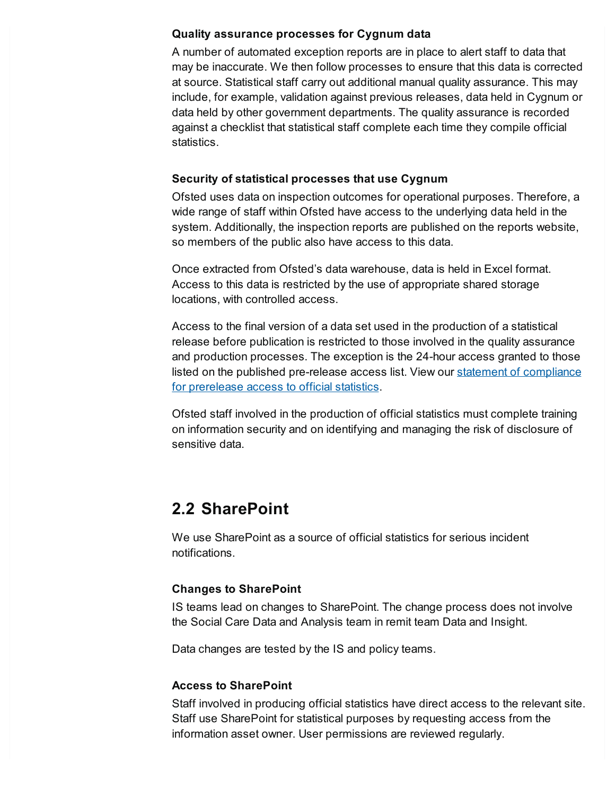#### **Quality assurance processes for Cygnum data**

A number of automated exception reports are in place to alert staff to data that may be inaccurate. We then follow processes to ensure that this data is corrected at source. Statistical staff carry out additional manual quality assurance. This may include, for example, validation against previous releases, data held in Cygnum or data held by other government departments. The quality assurance is recorded against a checklist that statistical staff complete each time they compile official statistics.

#### **Security of statistical processes that use Cygnum**

Ofsted uses data on inspection outcomes for operational purposes. Therefore, a wide range of staff within Ofsted have access to the underlying data held in the system. Additionally, the inspection reports are published on the reports website, so members of the public also have access to this data.

Once extracted from Ofsted's data warehouse, data is held in Excel format. Access to this data is restricted by the use of appropriate shared storage locations, with controlled access.

Access to the final version of a data set used in the production of a statistical release before publication is restricted to those involved in the quality assurance and production processes. The exception is the 24-hour access granted to those listed on the published [pre-release](https://www.gov.uk/government/publications/ofsted-standards-for-official-statistics/pre-release-access-to-official-statistics-order-2008-statement-of-compliance) access list. View our statement of compliance for prerelease access to official statistics.

Ofsted staff involved in the production of official statistics must complete training on information security and on identifying and managing the risk of disclosure of sensitive data.

## **2.2 SharePoint**

We use SharePoint as a source of official statistics for serious incident notifications.

### **Changes to SharePoint**

IS teams lead on changes to SharePoint. The change process does not involve the Social Care Data and Analysis team in remit team Data and Insight.

Data changes are tested by the IS and policy teams.

### **Access to SharePoint**

Staff involved in producing official statistics have direct access to the relevant site. Staff use SharePoint for statistical purposes by requesting access from the information asset owner. User permissions are reviewed regularly.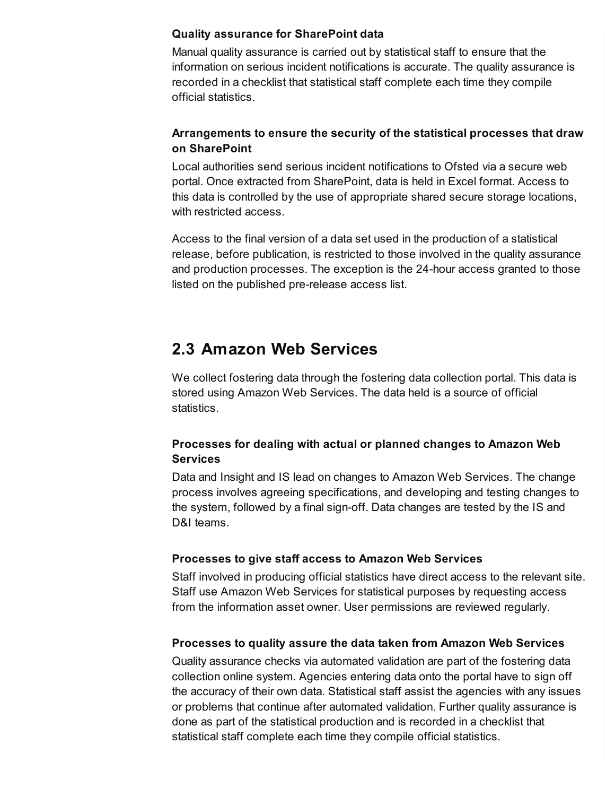#### **Quality assurance for SharePoint data**

Manual quality assurance is carried out by statistical staff to ensure that the information on serious incident notifications is accurate. The quality assurance is recorded in a checklist that statistical staff complete each time they compile official statistics.

### **Arrangements to ensure the security of the statistical processes that draw on SharePoint**

Local authorities send serious incident notifications to Ofsted via a secure web portal. Once extracted from SharePoint, data is held in Excel format. Access to this data is controlled by the use of appropriate shared secure storage locations, with restricted access.

Access to the final version of a data set used in the production of a statistical release, before publication, is restricted to those involved in the quality assurance and production processes. The exception is the 24-hour access granted to those listed on the published pre-release access list.

## **2.3 Amazon Web Services**

We collect fostering data through the fostering data collection portal. This data is stored using Amazon Web Services. The data held is a source of official statistics.

### **Processes for dealing with actual or planned changes to Amazon Web Services**

Data and Insight and IS lead on changes to Amazon Web Services. The change process involves agreeing specifications, and developing and testing changes to the system, followed by a final sign-off. Data changes are tested by the IS and D&I teams.

### **Processes to give staff access to Amazon Web Services**

Staff involved in producing official statistics have direct access to the relevant site. Staff use Amazon Web Services for statistical purposes by requesting access from the information asset owner. User permissions are reviewed regularly.

### **Processes to quality assure the data taken from Amazon Web Services**

Quality assurance checks via automated validation are part of the fostering data collection online system. Agencies entering data onto the portal have to sign off the accuracy of their own data. Statistical staff assist the agencies with any issues or problems that continue after automated validation. Further quality assurance is done as part of the statistical production and is recorded in a checklist that statistical staff complete each time they compile official statistics.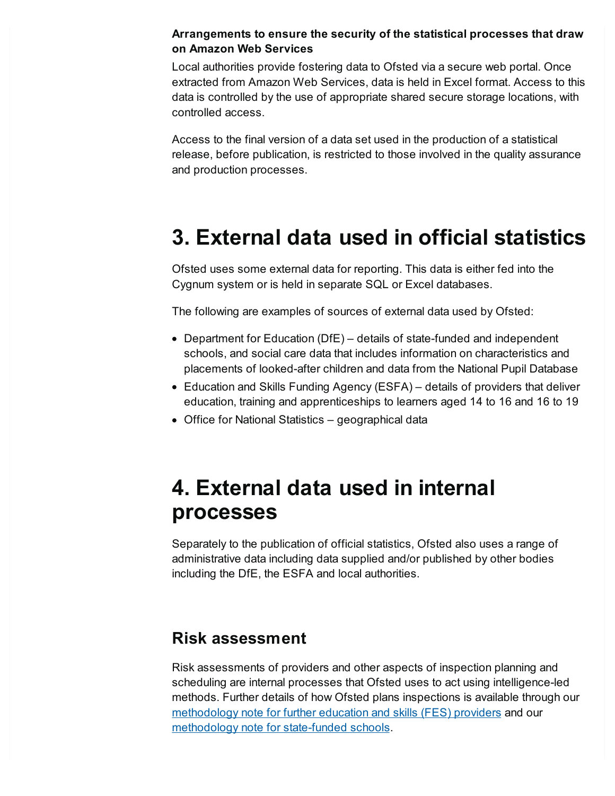#### **Arrangements to ensure the security of the statistical processes that draw on Amazon Web Services**

Local authorities provide fostering data to Ofsted via a secure web portal. Once extracted from Amazon Web Services, data is held in Excel format. Access to this data is controlled by the use of appropriate shared secure storage locations, with controlled access.

Access to the final version of a data set used in the production of a statistical release, before publication, is restricted to those involved in the quality assurance and production processes.

# <span id="page-4-0"></span>**3. External data used in official statistics**

Ofsted uses some external data for reporting. This data is either fed into the Cygnum system or is held in separate SQL or Excel databases.

The following are examples of sources of external data used by Ofsted:

- Department for Education (DfE) details of state-funded and independent schools, and social care data that includes information on characteristics and placements of looked-after children and data from the National Pupil Database
- Education and Skills Funding Agency (ESFA) details of providers that deliver education, training and apprenticeships to learners aged 14 to 16 and 16 to 19
- Office for National Statistics geographical data

# <span id="page-4-1"></span>**4. External data used in internal processes**

Separately to the publication of official statistics, Ofsted also uses a range of administrative data including data supplied and/or published by other bodies including the DfE, the ESFA and local authorities.

### **Risk assessment**

Risk assessments of providers and other aspects of inspection planning and scheduling are internal processes that Ofsted uses to act using intelligence-led methods. Further details of how Ofsted plans inspections is available through our [methodology](https://www.gov.uk/government/uploads/system/uploads/attachment_data/file/701716/Methodology_note_the_risk_assessment_of_good_and_outstanding_FES_providers.pdf) note for further education and skills (FES) providers and our [methodology](https://www.gov.uk/government/uploads/system/uploads/attachment_data/file/695193/Methodology_note_the_risk_assessment_of_good_and_outstanding_maintained_schools_and_academies.pdf) note for state-funded schools.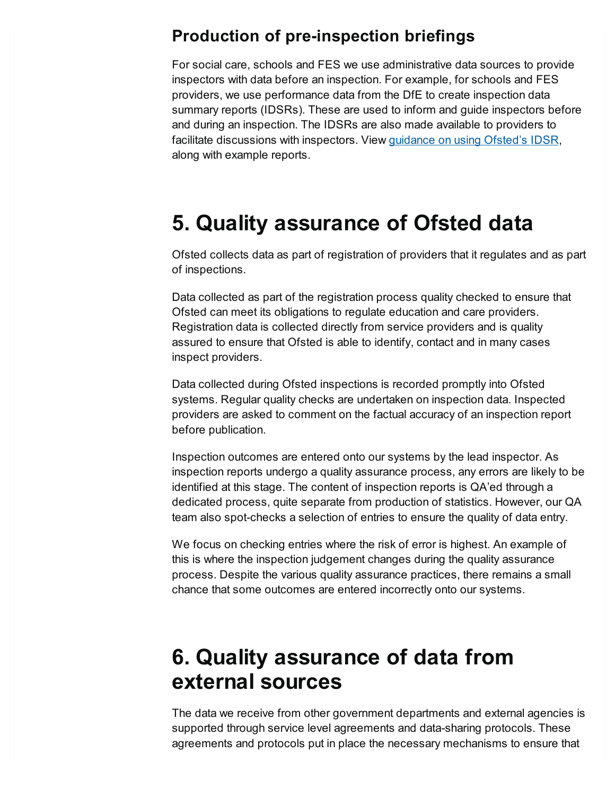## **Production of pre-inspection briefings**

For social care, schools and FES we use administrative data sources to provide inspectors with data before an inspection. For example, for schools and FES providers, we use performance data from the DfE to create inspection data summary reports (IDSRs). These are used to inform and guide inspectors before and during an inspection. The IDSRs are also made available to providers to facilitate discussions with inspectors. View [guidance](https://www.gov.uk/government/collections/using-ofsteds-inspection-dashboard) on using Ofsted's IDSR, along with example reports.

# <span id="page-5-0"></span>**5. Quality assurance of Ofsted data**

Ofsted collects data as part of registration of providers that it regulates and as part of inspections.

Data collected as part of the registration process quality checked to ensure that Ofsted can meet its obligations to regulate education and care providers. Registration data is collected directly from service providers and is quality assured to ensure that Ofsted is able to identify, contact and in many cases inspect providers.

Data collected during Ofsted inspections is recorded promptly into Ofsted systems. Regular quality checks are undertaken on inspection data. Inspected providers are asked to comment on the factual accuracy of an inspection report before publication.

Inspection outcomes are entered onto our systems by the lead inspector. As inspection reports undergo a quality assurance process, any errors are likely to be identified at this stage. The content of inspection reports is QA'ed through a dedicated process, quite separate from production of statistics. However, our QA team also spot-checks a selection of entries to ensure the quality of data entry.

We focus on checking entries where the risk of error is highest. An example of this is where the inspection judgement changes during the quality assurance process. Despite the various quality assurance practices, there remains a small chance that some outcomes are entered incorrectly onto our systems.

# <span id="page-5-1"></span>**6. Quality assurance of data from external sources**

The data we receive from other government departments and external agencies is supported through service level agreements and data-sharing protocols. These agreements and protocols put in place the necessary mechanisms to ensure that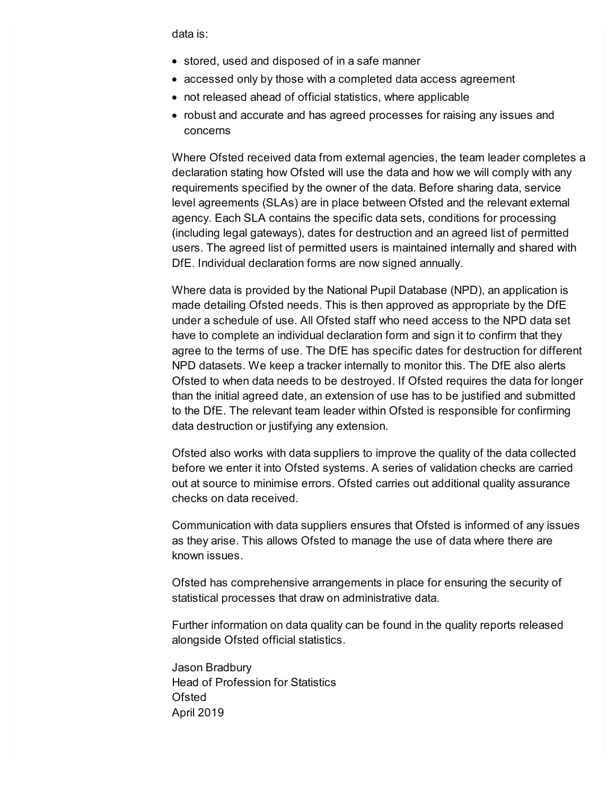data is:

- stored, used and disposed of in a safe manner
- accessed only by those with a completed data access agreement
- not released ahead of official statistics, where applicable
- robust and accurate and has agreed processes for raising any issues and concerns

Where Ofsted received data from external agencies, the team leader completes a declaration stating how Ofsted will use the data and how we will comply with any requirements specified by the owner of the data. Before sharing data, service level agreements (SLAs) are in place between Ofsted and the relevant external agency. Each SLA contains the specific data sets, conditions for processing (including legal gateways), dates for destruction and an agreed list of permitted users. The agreed list of permitted users is maintained internally and shared with DfE. Individual declaration forms are now signed annually.

Where data is provided by the National Pupil Database (NPD), an application is made detailing Ofsted needs. This is then approved as appropriate by the DfE under a schedule of use. All Ofsted staff who need access to the NPD data set have to complete an individual declaration form and sign it to confirm that they agree to the terms of use. The DfE has specific dates for destruction for different NPD datasets. We keep a tracker internally to monitor this. The DfE also alerts Ofsted to when data needs to be destroyed. If Ofsted requires the data for longer than the initial agreed date, an extension of use has to be justified and submitted to the DfE. The relevant team leader within Ofsted is responsible for confirming data destruction or justifying any extension.

Ofsted also works with data suppliers to improve the quality of the data collected before we enter it into Ofsted systems. A series of validation checks are carried out at source to minimise errors. Ofsted carries out additional quality assurance checks on data received.

Communication with data suppliers ensures that Ofsted is informed of any issues as they arise. This allows Ofsted to manage the use of data where there are known issues.

Ofsted has comprehensive arrangements in place for ensuring the security of statistical processes that draw on administrative data.

Further information on data quality can be found in the quality reports released alongside Ofsted official statistics.

Jason Bradbury Head of Profession for Statistics **Ofsted** April 2019